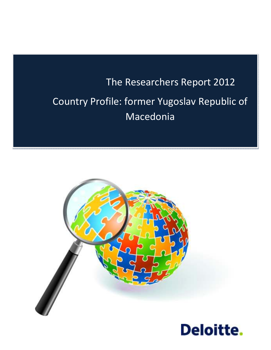# The Researchers Report 2012 Country Profile: former Yugoslav Republic of Macedonia



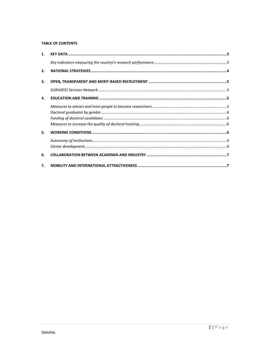#### **TABLE OF CONTENTS**

| 1.               |  |
|------------------|--|
|                  |  |
| 2.               |  |
| 3.               |  |
|                  |  |
| 4.               |  |
|                  |  |
|                  |  |
|                  |  |
| 5.               |  |
|                  |  |
| 6.               |  |
| $\overline{7}$ . |  |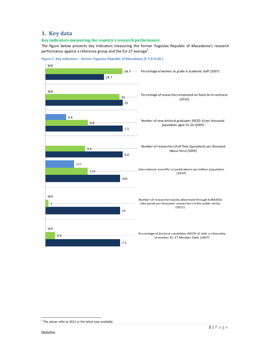# **1. Key data**

#### **Key indicators measuring the country's research performance**

The figure below presents key indicators measuring the former Yugoslav Republic of Macedonia's research performance against a reference group and the EU-27 average<sup>1</sup>.





1

 $1$  The values refer to 2011 or the latest year available.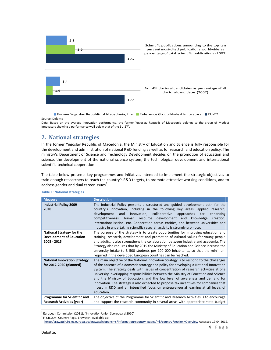

**Former Yugoslav Republic of Macedonia, the Reference Group Modest Innovators Rev.** Source: Deloitte

Data: Based on the average innovation performance, the former Yugoslav Republic of Macedonia belongs to the group of Modest Innovators showing a performance well below that of the EU-27<sup>2</sup>.

# **2. National strategies**

In the former Yugoslav Republic of Macedonia, the Ministry of Education and Science is fully responsible for the development and administration of national R&D funding as well as for research and education policy. The ministry's Department of Science and Technology Development decides on the promotion of education and science, the development of the national science system, the technological development and international scientific-technical cooperation.

The table below presents key programmes and initiatives intended to implement the strategic objectives to train enough researchers to reach the country's R&D targets, to promote attractive working conditions, and to address gender and dual career issues<sup>3</sup>.

| <b>Measure</b>                                                                     | <b>Description</b>                                                                                                                                                                                                                                                                                                                                                                                                                                                                                                                                                                                                                                |  |  |
|------------------------------------------------------------------------------------|---------------------------------------------------------------------------------------------------------------------------------------------------------------------------------------------------------------------------------------------------------------------------------------------------------------------------------------------------------------------------------------------------------------------------------------------------------------------------------------------------------------------------------------------------------------------------------------------------------------------------------------------------|--|--|
| <b>Industrial Policy 2009-</b><br>2020                                             | The Industrial Policy presents a structured and guided development path for the<br>country's innovation, including in the following key areas: applied research,<br>innovation, collaborative<br>approaches<br>for<br>development<br>and<br>enhancing<br>competitiveness, human resource development and<br>knowledge<br>creation.<br>internationalisation, etc. Cooperation across entities, and between universities and<br>industry in undertaking scientific research activity is strongly promoted.                                                                                                                                          |  |  |
| <b>National Strategy for the</b><br><b>Development of Education</b><br>2005 - 2015 | The purpose of the strategy is to create opportunities for improving education and<br>training, research, development and promotion of cultural values for young people<br>and adults. It also strengthens the collaboration between industry and academia. The<br>Strategy also requires that by 2015 the Ministry of Education and Science increase the<br>university intake to 3 500 students per 100 000 inhabitants, so that the minimum<br>required in the developed European countries can be reached.                                                                                                                                     |  |  |
| <b>National Innovation Strategy</b><br>for 2012-2020 (planned)                     | The main objective of the National Innovation Strategy is to respond to the challenges<br>of the absence of a domestic strategy and policy for developing a National Innovation<br>System. The strategy deals with issues of concentration of research activities at one<br>university, overlapping responsibilities between the Ministry of Education and Science<br>and the Ministry of Education, and the low level of awareness and demand for<br>innovation. The strategy is also expected to propose tax incentives for companies that<br>invest in R&D and an intensified focus on entrepreneurial learning at all levels of<br>education. |  |  |
| <b>Programme for Scientific and</b><br><b>Research Activities (year)</b>           | The objective of the Programme for Scientific and Research Activities is to encourage<br>and support the research community in several areas with appropriate state budget                                                                                                                                                                                                                                                                                                                                                                                                                                                                        |  |  |

#### **Table 1: National strategies**

l,

 $2$  European Commission (2011), "Innovation Union Scoreboard 2010".

<sup>&</sup>lt;sup>3</sup> F.Y.R.O.M. Country Page. Erawatch, Available at:

http://erawatch.jrc.ec.europa.eu/erawatch/opencms/information/country\_pages/mk/country?section=Overview Accessed 19.04.2012.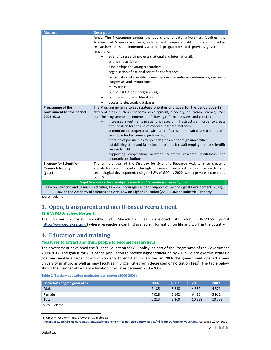| <b>Measure</b>                                                        | <b>Description</b>                                                                                                                                                                                                                                                                                                                                                                                                                                                                                                                                                                                                                                                                                                                                                                                                                                       |  |  |
|-----------------------------------------------------------------------|----------------------------------------------------------------------------------------------------------------------------------------------------------------------------------------------------------------------------------------------------------------------------------------------------------------------------------------------------------------------------------------------------------------------------------------------------------------------------------------------------------------------------------------------------------------------------------------------------------------------------------------------------------------------------------------------------------------------------------------------------------------------------------------------------------------------------------------------------------|--|--|
|                                                                       | funds. The Programme targets the public and private universities, faculties, the<br>Academy of Sciences and Arts, independent research institutions and individual<br>researchers. It is implemented via annual programmes and provides government<br>funding for:                                                                                                                                                                                                                                                                                                                                                                                                                                                                                                                                                                                       |  |  |
|                                                                       | scientific research projects (national and international);<br>$\overline{\phantom{m}}$<br>publishing activity;<br>scholarships for young researchers;<br>$\overline{\phantom{0}}$<br>organisation of national scientific conferences;<br>—<br>participation of scientific researchers in international conferences, seminars,<br>$\overline{\phantom{m}}$<br>congresses and symposiums;<br>study trips;<br>public institutions' programmes;<br>$\qquad \qquad \longleftarrow$<br>purchase of foreign literature;<br>$\qquad \qquad \longleftarrow$                                                                                                                                                                                                                                                                                                       |  |  |
|                                                                       | access to electronic databases.                                                                                                                                                                                                                                                                                                                                                                                                                                                                                                                                                                                                                                                                                                                                                                                                                          |  |  |
| Programme of the<br>Government for the period<br>2008-2012            | The Programme aims to set strategic priorities and goals for the period 2008-12 in<br>different areas, such as economic development, e-society, education, science, R&D,<br>etc. The Programme implements the following reform measures and policies:<br>increased investments in scientific research infrastructure in order to create<br>a foundation for the use of modern research methods;<br>promotion of cooperation with scientific-research institutions from abroad<br>—<br>to enable better knowledge transfer;<br>creation of possibilities for joint degrees with foreign universities;<br>$\overline{\phantom{0}}$<br>establishing strict and fair selection criteria for staff employment in scientific<br>$-$<br>research institutions;<br>supporting cooperation between scientific research institutions and<br>economic institutions. |  |  |
| Strategy for Scientific-<br><b>Research Activity</b>                  | The primary goal of the Strategy for Scientific–Research Activity is to create a<br>knowledge-based society through increased expenditure on research<br>and                                                                                                                                                                                                                                                                                                                                                                                                                                                                                                                                                                                                                                                                                             |  |  |
| (year)                                                                | technological development, rising to 1.8% of GDP by 2020, with a private sector share<br>of 50%.                                                                                                                                                                                                                                                                                                                                                                                                                                                                                                                                                                                                                                                                                                                                                         |  |  |
| Legal framework for scientific research and technological development |                                                                                                                                                                                                                                                                                                                                                                                                                                                                                                                                                                                                                                                                                                                                                                                                                                                          |  |  |
|                                                                       | Law on Scientific and Research Activities, Law on Encouragement and Support of Technological Development (2011),                                                                                                                                                                                                                                                                                                                                                                                                                                                                                                                                                                                                                                                                                                                                         |  |  |

Law on the Academy of Sciences and Arts, Law on Higher Education (2010), Law on Industrial Property. Source: Deloitte

# **3. Open, transparent and merit-based recruitment**

## **EURAXESS Services Network**

The former Yugoslav Republic of Macedonia has developed its own EURAXESS portal (http://www.euraxess.mk/) where researchers can find available information on life and work in the country.

# **4. Education and training**

## **Measures to attract and train people to become researchers**

The government developed the 'Higher Education for All' policy, as part of the Programme of the Government 2008-2012. The goal is for 25% of the population to receive higher education by 2012. To achieve this strategic goal and enable a larger group of students to enrol at universities, in 2008 the government opened a new university in Shtip, as well as new faculties in bigger cities with decreased or no tuition fees<sup>4</sup>. The table below shows the number of tertiary education graduates between 2006-2009.

| Table 2: Tertiary education graduates per gender (2006-2009) |  |  |  |
|--------------------------------------------------------------|--|--|--|
|--------------------------------------------------------------|--|--|--|

| Bachelor's degree graduates | 2006    | 2007    | 2008    | 2009     |
|-----------------------------|---------|---------|---------|----------|
| <b>Male</b>                 | 2 1 8 5 | 3 2 1 8 | 4 3 5 2 | 4 3 2 1  |
| Female                      | 4028    | 5 1 4 2 | 6486    | 5911     |
| <b>Total</b>                | 6 2 1 3 | 8 3 6 0 | 10838   | 10 2 3 2 |
| Source: Deloitte            |         |         |         |          |

l,

<sup>4</sup> F.Y.R.O.M. Country Page. Erawatch, Available at:

http://erawatch.jrc.ec.europa.eu/erawatch/opencms/information/country\_pages/mk/country?section=Overview Accessed 19.04.2012.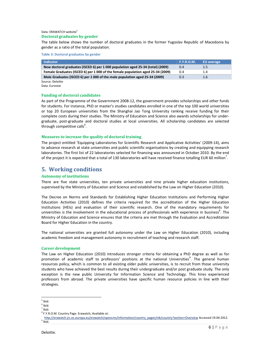#### Data: ERAWATCH website<sup>5</sup> **Doctoral graduates by gender**

The table below shows the number of doctoral graduates in the former Yugoslav Republic of Macedonia by gender as a ratio of the total population.

**Table 3: Doctoral graduates by gender** 

| Indicator                                                                       | <b>F.Y.R.O.M.</b> | EU average |
|---------------------------------------------------------------------------------|-------------------|------------|
| New doctoral graduates (ISCED 6) per 1 000 population aged 25-34 (total) (2009) | 0.4               | 1.5        |
| Female Graduates (ISCED 6) per 1 000 of the female population aged 25-34 (2009) | 0.4               | 1.4        |
| Male Graduates (ISCED 6) per 1 000 of the male population aged 25-34 (2009)     | 0.3               | 1.6        |
| Source: Deloitte                                                                |                   |            |

Data: Eurostat

#### **Funding of doctoral candidates**

As part of the Programme of the Government 2008-12, the government provides scholarships and other funds for students. For instance, PhD or master's studies candidates enrolled in one of the top 100 world universities or top 20 European universities from the Shanghai Jao Tong University ranking receive funding for their complete costs during their studies. The Ministry of Education and Science also awards scholarships for undergraduate, post-graduate and doctoral studies at local universities. All scholarship candidates are selected through competitive calls<sup>6</sup>.

#### **Measures to increase the quality of doctoral training**

The project entitled 'Equipping Laboratories for Scientific Research and Applicative Activities' (2009-14), aims to advance research at state universities and public scientific organisations by creating and equipping research laboratories. The first list of 22 laboratories selected for financing was announced in October 2010. By the end of the project it is expected that a total of 130 laboratories will have received finance totalling EUR 60 million<sup>7</sup>.

# **5. Working conditions**

#### **Autonomy of institutions**

There are five state universities, ten private universities and nine private higher education institutions, supervised by the Ministry of Education and Science and established by the Law on Higher Education (2010).

The Decree on Norms and Standards for Establishing Higher Education Institutions and Performing Higher Education Activities (2010) defines the criteria required for the accreditation of the Higher Education Institutions (HEIs) and evaluation of their scientific research. One of the mandatory requirements for universities is the involvement in the educational process of professionals with experience in business<sup>8</sup>. The Ministry of Education and Science ensures that the criteria are met through the Evaluation and Accreditation Board for Higher Education in the country.

The national universities are granted full autonomy under the Law on Higher Education (2010), including academic freedom and management autonomy in recruitment of teaching and research staff.

#### **Career development**

The Law on Higher Education (2010) introduces stronger criteria for obtaining a PhD degree as well as for promotion of academic staff to professors' positions at the national Universities<sup>9</sup>. The general human resources policy, which is common to all existing older public universities, is to recruit from those university students who have achieved the best results during their undergraduate and/or post graduate study. The only exception is the new public University for Information Science and Technology. This hires experienced professors from abroad. The private universities have specific human resource policies in line with their strategies.

l,  $<sup>5</sup>$  Ibid.</sup>

 $<sup>6</sup>$  Ibid.</sup>

 $<sup>7</sup>$  Ibid.</sup>

<sup>&</sup>lt;sup>8</sup> F.Y.R.O.M. Country Page. Erawatch, Available at:

http://erawatch.jrc.ec.europa.eu/erawatch/opencms/information/country\_pages/mk/country?section=Overview Accessed 19.04.2012.  $9$  Ibid.